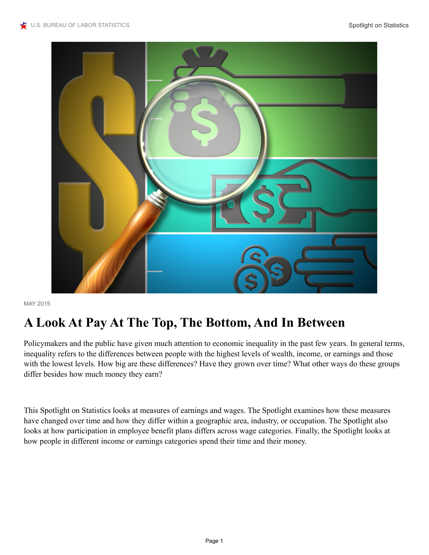

MAY 2015

# **A Look At Pay At The Top, The Bottom, And In Between**

Policymakers and the public have given much attention to economic inequality in the past few years. In general terms, inequality refers to the differences between people with the highest levels of wealth, income, or earnings and those with the lowest levels. How big are these differences? Have they grown over time? What other ways do these groups differ besides how much money they earn?

This Spotlight on Statistics looks at measures of earnings and wages. The Spotlight examines how these measures have changed over time and how they differ within a geographic area, industry, or occupation. The Spotlight also looks at how participation in employee benefit plans differs across wage categories. Finally, the Spotlight looks at how people in different income or earnings categories spend their time and their money.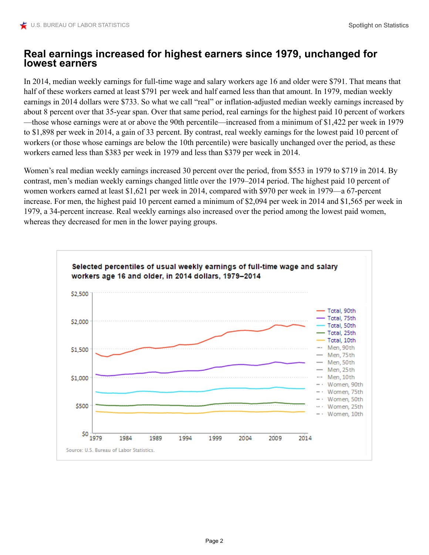#### **Real earnings increased for highest earners since 1979, unchanged for lowest earners**

In 2014, median weekly earnings for full-time wage and salary workers age 16 and older were \$791. That means that half of these workers earned at least \$791 per week and half earned less than that amount. In 1979, median weekly earnings in 2014 dollars were \$733. So what we call "real" or inflation-adjusted median weekly earnings increased by about 8 percent over that 35-year span. Over that same period, real earnings for the highest paid 10 percent of workers —those whose earnings were at or above the 90th percentile—increased from a minimum of \$1,422 per week in 1979 to \$1,898 per week in 2014, a gain of 33 percent. By contrast, real weekly earnings for the lowest paid 10 percent of workers (or those whose earnings are below the 10th percentile) were basically unchanged over the period, as these workers earned less than \$383 per week in 1979 and less than \$379 per week in 2014.

Women's real median weekly earnings increased 30 percent over the period, from \$553 in 1979 to \$719 in 2014. By contrast, men's median weekly earnings changed little over the 1979–2014 period. The highest paid 10 percent of women workers earned at least \$1,621 per week in 2014, compared with \$970 per week in 1979—a 67-percent increase. For men, the highest paid 10 percent earned a minimum of \$2,094 per week in 2014 and \$1,565 per week in 1979, a 34-percent increase. Real weekly earnings also increased over the period among the lowest paid women, whereas they decreased for men in the lower paying groups.

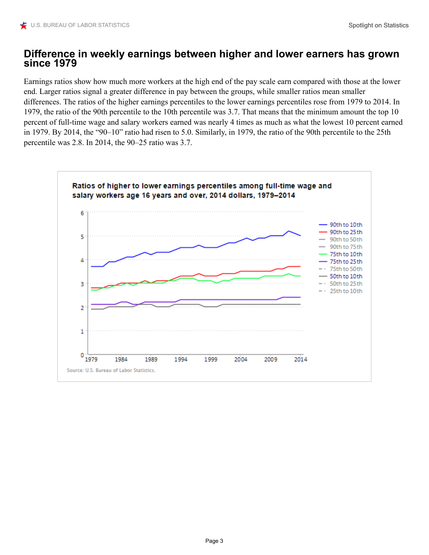#### **Difference in weekly earnings between higher and lower earners has grown since 1979**

Earnings ratios show how much more workers at the high end of the pay scale earn compared with those at the lower end. Larger ratios signal a greater difference in pay between the groups, while smaller ratios mean smaller differences. The ratios of the higher earnings percentiles to the lower earnings percentiles rose from 1979 to 2014. In 1979, the ratio of the 90th percentile to the 10th percentile was 3.7. That means that the minimum amount the top 10 percent of full-time wage and salary workers earned was nearly 4 times as much as what the lowest 10 percent earned in 1979. By 2014, the "90–10" ratio had risen to 5.0. Similarly, in 1979, the ratio of the 90th percentile to the 25th percentile was 2.8. In 2014, the 90–25 ratio was 3.7.

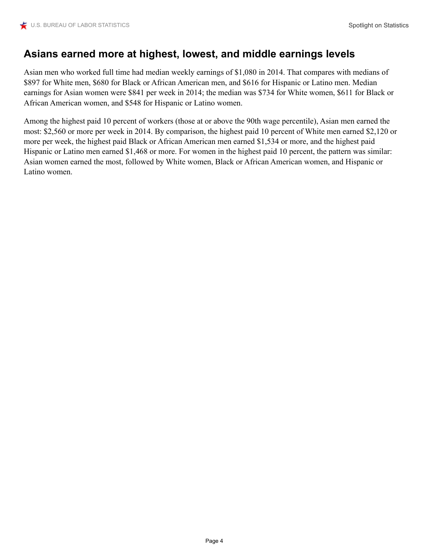### **Asians earned more at highest, lowest, and middle earnings levels**

Asian men who worked full time had median weekly earnings of \$1,080 in 2014. That compares with medians of \$897 for White men, \$680 for Black or African American men, and \$616 for Hispanic or Latino men. Median earnings for Asian women were \$841 per week in 2014; the median was \$734 for White women, \$611 for Black or African American women, and \$548 for Hispanic or Latino women.

Among the highest paid 10 percent of workers (those at or above the 90th wage percentile), Asian men earned the most: \$2,560 or more per week in 2014. By comparison, the highest paid 10 percent of White men earned \$2,120 or more per week, the highest paid Black or African American men earned \$1,534 or more, and the highest paid Hispanic or Latino men earned \$1,468 or more. For women in the highest paid 10 percent, the pattern was similar: Asian women earned the most, followed by White women, Black or African American women, and Hispanic or Latino women.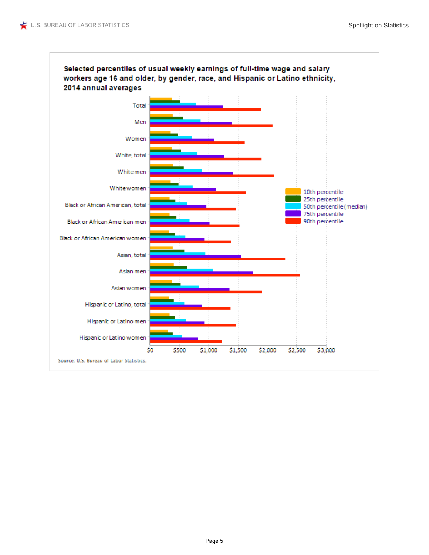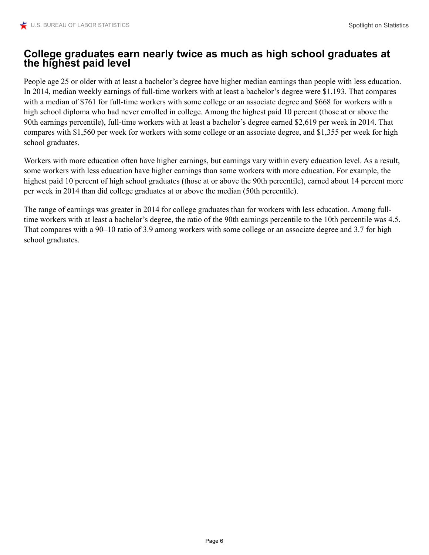#### **College graduates earn nearly twice as much as high school graduates at the highest paid level**

People age 25 or older with at least a bachelor's degree have higher median earnings than people with less education. In 2014, median weekly earnings of full-time workers with at least a bachelor's degree were \$1,193. That compares with a median of \$761 for full-time workers with some college or an associate degree and \$668 for workers with a high school diploma who had never enrolled in college. Among the highest paid 10 percent (those at or above the 90th earnings percentile), full-time workers with at least a bachelor's degree earned \$2,619 per week in 2014. That compares with \$1,560 per week for workers with some college or an associate degree, and \$1,355 per week for high school graduates.

Workers with more education often have higher earnings, but earnings vary within every education level. As a result, some workers with less education have higher earnings than some workers with more education. For example, the highest paid 10 percent of high school graduates (those at or above the 90th percentile), earned about 14 percent more per week in 2014 than did college graduates at or above the median (50th percentile).

The range of earnings was greater in 2014 for college graduates than for workers with less education. Among fulltime workers with at least a bachelor's degree, the ratio of the 90th earnings percentile to the 10th percentile was 4.5. That compares with a 90–10 ratio of 3.9 among workers with some college or an associate degree and 3.7 for high school graduates.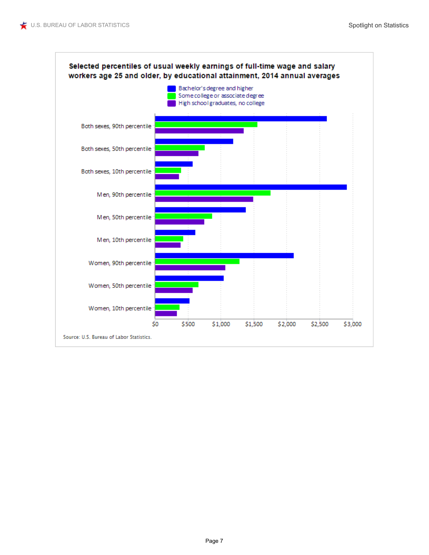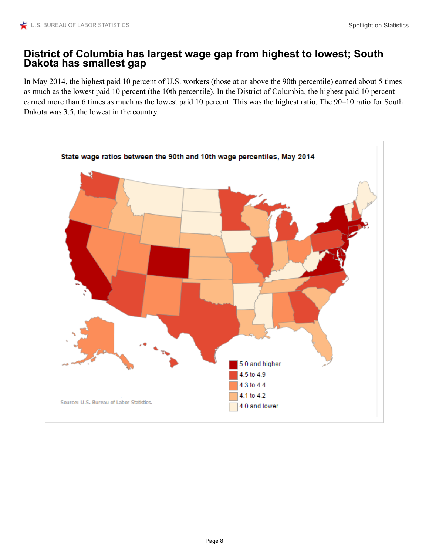#### **District of Columbia has largest wage gap from highest to lowest; South Dakota has smallest gap**

In May 2014, the highest paid 10 percent of U.S. workers (those at or above the 90th percentile) earned about 5 times as much as the lowest paid 10 percent (the 10th percentile). In the District of Columbia, the highest paid 10 percent earned more than 6 times as much as the lowest paid 10 percent. This was the highest ratio. The 90–10 ratio for South Dakota was 3.5, the lowest in the country.

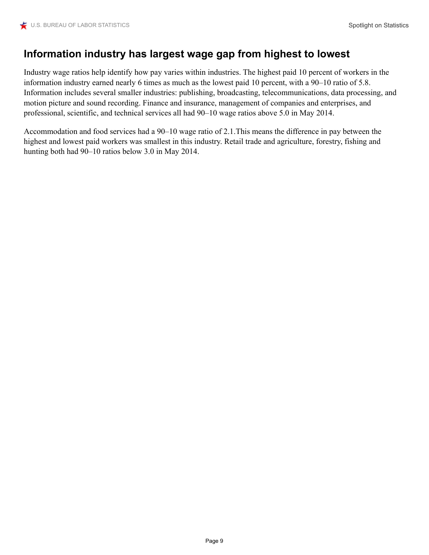# **Information industry has largest wage gap from highest to lowest**

Industry wage ratios help identify how pay varies within industries. The highest paid 10 percent of workers in the information industry earned nearly 6 times as much as the lowest paid 10 percent, with a 90–10 ratio of 5.8. Information includes several smaller industries: publishing, broadcasting, telecommunications, data processing, and motion picture and sound recording. Finance and insurance, management of companies and enterprises, and professional, scientific, and technical services all had 90–10 wage ratios above 5.0 in May 2014.

Accommodation and food services had a 90–10 wage ratio of 2.1.This means the difference in pay between the highest and lowest paid workers was smallest in this industry. Retail trade and agriculture, forestry, fishing and hunting both had 90–10 ratios below 3.0 in May 2014.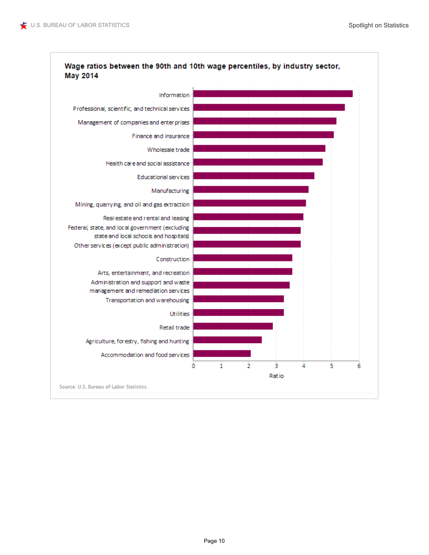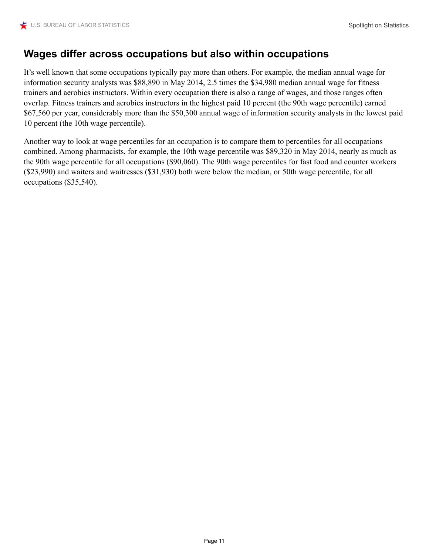### **Wages differ across occupations but also within occupations**

It's well known that some occupations typically pay more than others. For example, the median annual wage for information security analysts was \$88,890 in May 2014, 2.5 times the \$34,980 median annual wage for fitness trainers and aerobics instructors. Within every occupation there is also a range of wages, and those ranges often overlap. Fitness trainers and aerobics instructors in the highest paid 10 percent (the 90th wage percentile) earned \$67,560 per year, considerably more than the \$50,300 annual wage of information security analysts in the lowest paid 10 percent (the 10th wage percentile).

Another way to look at wage percentiles for an occupation is to compare them to percentiles for all occupations combined. Among pharmacists, for example, the 10th wage percentile was \$89,320 in May 2014, nearly as much as the 90th wage percentile for all occupations (\$90,060). The 90th wage percentiles for fast food and counter workers (\$23,990) and waiters and waitresses (\$31,930) both were below the median, or 50th wage percentile, for all occupations (\$35,540).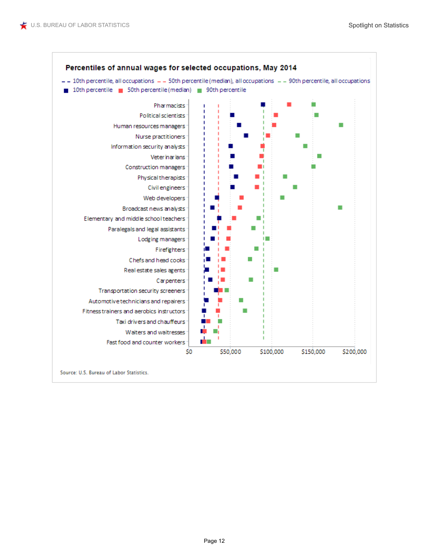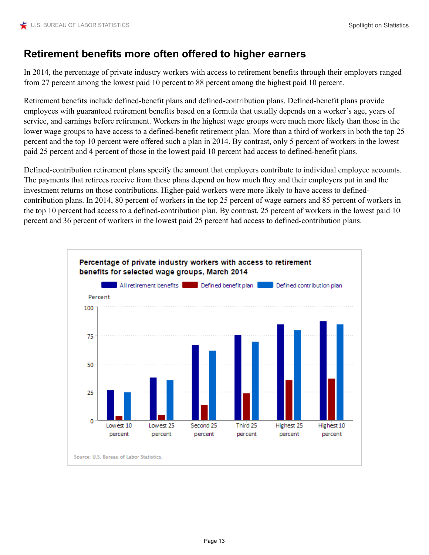# **Retirement benefits more often offered to higher earners**

In 2014, the percentage of private industry workers with access to retirement benefits through their employers ranged from 27 percent among the lowest paid 10 percent to 88 percent among the highest paid 10 percent.

Retirement benefits include defined-benefit plans and defined-contribution plans. Defined-benefit plans provide employees with guaranteed retirement benefits based on a formula that usually depends on a worker's age, years of service, and earnings before retirement. Workers in the highest wage groups were much more likely than those in the lower wage groups to have access to a defined-benefit retirement plan. More than a third of workers in both the top 25 percent and the top 10 percent were offered such a plan in 2014. By contrast, only 5 percent of workers in the lowest paid 25 percent and 4 percent of those in the lowest paid 10 percent had access to defined-benefit plans.

Defined-contribution retirement plans specify the amount that employers contribute to individual employee accounts. The payments that retirees receive from these plans depend on how much they and their employers put in and the investment returns on those contributions. Higher-paid workers were more likely to have access to definedcontribution plans. In 2014, 80 percent of workers in the top 25 percent of wage earners and 85 percent of workers in the top 10 percent had access to a defined-contribution plan. By contrast, 25 percent of workers in the lowest paid 10 percent and 36 percent of workers in the lowest paid 25 percent had access to defined-contribution plans.

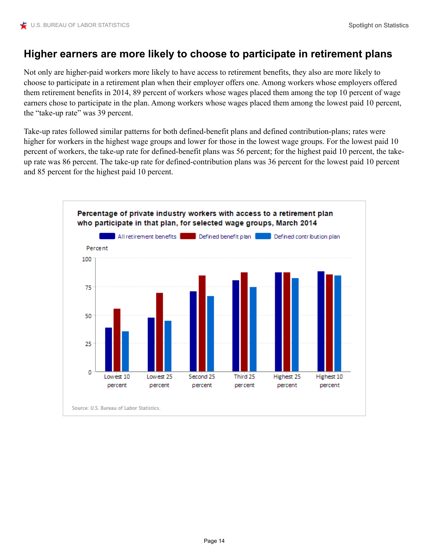### **Higher earners are more likely to choose to participate in retirement plans**

Not only are higher-paid workers more likely to have access to retirement benefits, they also are more likely to choose to participate in a retirement plan when their employer offers one. Among workers whose employers offered them retirement benefits in 2014, 89 percent of workers whose wages placed them among the top 10 percent of wage earners chose to participate in the plan. Among workers whose wages placed them among the lowest paid 10 percent, the "take-up rate" was 39 percent.

Take-up rates followed similar patterns for both defined-benefit plans and defined contribution-plans; rates were higher for workers in the highest wage groups and lower for those in the lowest wage groups. For the lowest paid 10 percent of workers, the take-up rate for defined-benefit plans was 56 percent; for the highest paid 10 percent, the takeup rate was 86 percent. The take-up rate for defined-contribution plans was 36 percent for the lowest paid 10 percent and 85 percent for the highest paid 10 percent.

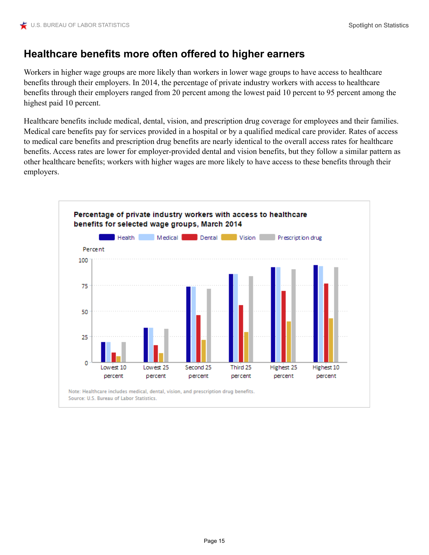# **Healthcare benefits more often offered to higher earners**

Workers in higher wage groups are more likely than workers in lower wage groups to have access to healthcare benefits through their employers. In 2014, the percentage of private industry workers with access to healthcare benefits through their employers ranged from 20 percent among the lowest paid 10 percent to 95 percent among the highest paid 10 percent.

Healthcare benefits include medical, dental, vision, and prescription drug coverage for employees and their families. Medical care benefits pay for services provided in a hospital or by a qualified medical care provider. Rates of access to medical care benefits and prescription drug benefits are nearly identical to the overall access rates for healthcare benefits. Access rates are lower for employer-provided dental and vision benefits, but they follow a similar pattern as other healthcare benefits; workers with higher wages are more likely to have access to these benefits through their employers.

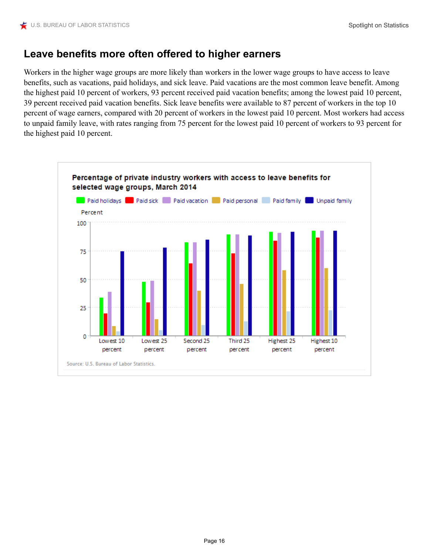### **Leave benefits more often offered to higher earners**

Workers in the higher wage groups are more likely than workers in the lower wage groups to have access to leave benefits, such as vacations, paid holidays, and sick leave. Paid vacations are the most common leave benefit. Among the highest paid 10 percent of workers, 93 percent received paid vacation benefits; among the lowest paid 10 percent, 39 percent received paid vacation benefits. Sick leave benefits were available to 87 percent of workers in the top 10 percent of wage earners, compared with 20 percent of workers in the lowest paid 10 percent. Most workers had access to unpaid family leave, with rates ranging from 75 percent for the lowest paid 10 percent of workers to 93 percent for the highest paid 10 percent.

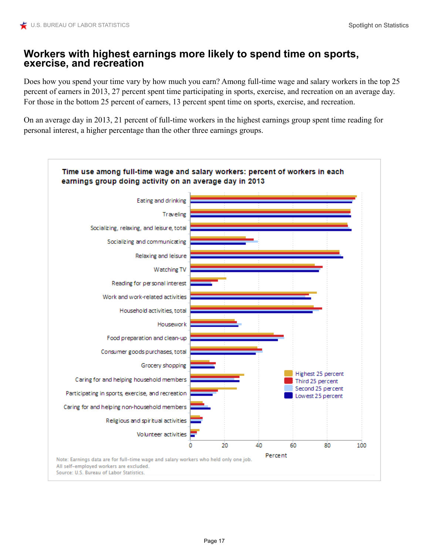#### **Workers with highest earnings more likely to spend time on sports, exercise, and recreation**

Does how you spend your time vary by how much you earn? Among full-time wage and salary workers in the top 25 percent of earners in 2013, 27 percent spent time participating in sports, exercise, and recreation on an average day. For those in the bottom 25 percent of earners, 13 percent spent time on sports, exercise, and recreation.

On an average day in 2013, 21 percent of full-time workers in the highest earnings group spent time reading for personal interest, a higher percentage than the other three earnings groups.

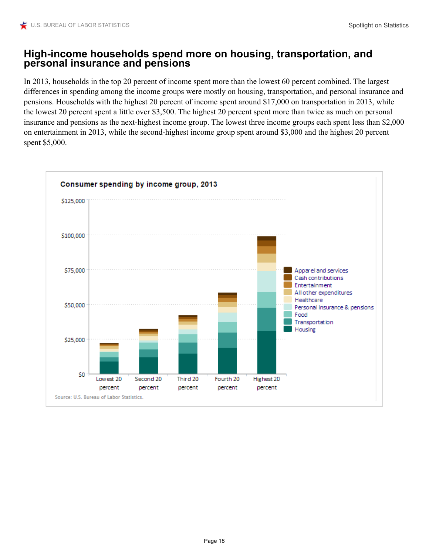#### **High-income households spend more on housing, transportation, and personal insurance and pensions**

In 2013, households in the top 20 percent of income spent more than the lowest 60 percent combined. The largest differences in spending among the income groups were mostly on housing, transportation, and personal insurance and pensions. Households with the highest 20 percent of income spent around \$17,000 on transportation in 2013, while the lowest 20 percent spent a little over \$3,500. The highest 20 percent spent more than twice as much on personal insurance and pensions as the next-highest income group. The lowest three income groups each spent less than \$2,000 on entertainment in 2013, while the second-highest income group spent around \$3,000 and the highest 20 percent spent \$5,000.

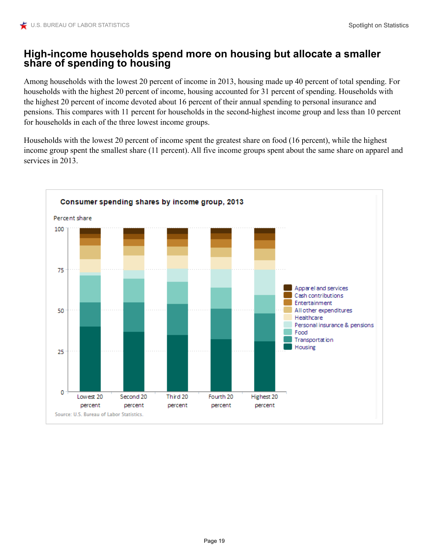#### **High-income households spend more on housing but allocate a smaller share of spending to housing**

Among households with the lowest 20 percent of income in 2013, housing made up 40 percent of total spending. For households with the highest 20 percent of income, housing accounted for 31 percent of spending. Households with the highest 20 percent of income devoted about 16 percent of their annual spending to personal insurance and pensions. This compares with 11 percent for households in the second-highest income group and less than 10 percent for households in each of the three lowest income groups.

Households with the lowest 20 percent of income spent the greatest share on food (16 percent), while the highest income group spent the smallest share (11 percent). All five income groups spent about the same share on apparel and services in 2013.